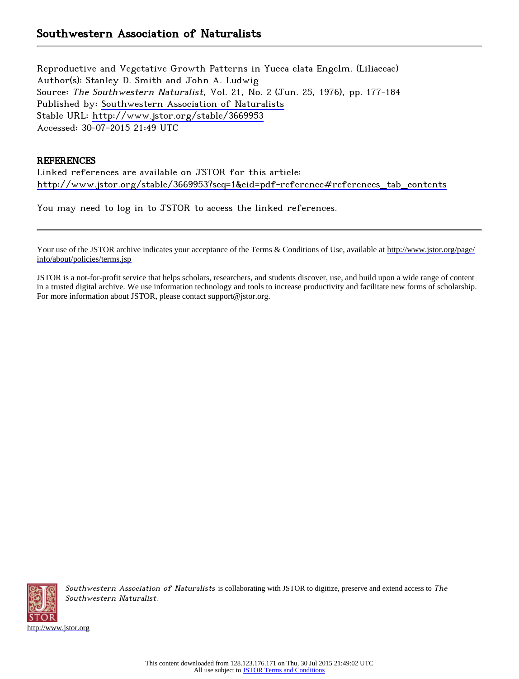Reproductive and Vegetative Growth Patterns in Yucca elata Engelm. (Liliaceae) Author(s): Stanley D. Smith and John A. Ludwig Source: The Southwestern Naturalist, Vol. 21, No. 2 (Jun. 25, 1976), pp. 177-184 Published by: [Southwestern Association of Naturalists](http://www.jstor.org/action/showPublisher?publisherCode=swan) Stable URL: <http://www.jstor.org/stable/3669953> Accessed: 30-07-2015 21:49 UTC

## **REFERENCES**

Linked references are available on JSTOR for this article: [http://www.jstor.org/stable/3669953?seq=1&cid=pdf-reference#references\\_tab\\_contents](http://www.jstor.org/stable/3669953?seq=1&cid=pdf-reference#references_tab_contents)

You may need to log in to JSTOR to access the linked references.

Your use of the JSTOR archive indicates your acceptance of the Terms & Conditions of Use, available at [http://www.jstor.org/page/](http://www.jstor.org/page/info/about/policies/terms.jsp) [info/about/policies/terms.jsp](http://www.jstor.org/page/info/about/policies/terms.jsp)

JSTOR is a not-for-profit service that helps scholars, researchers, and students discover, use, and build upon a wide range of content in a trusted digital archive. We use information technology and tools to increase productivity and facilitate new forms of scholarship. For more information about JSTOR, please contact support@jstor.org.



Southwestern Association of Naturalists is collaborating with JSTOR to digitize, preserve and extend access to The Southwestern Naturalist.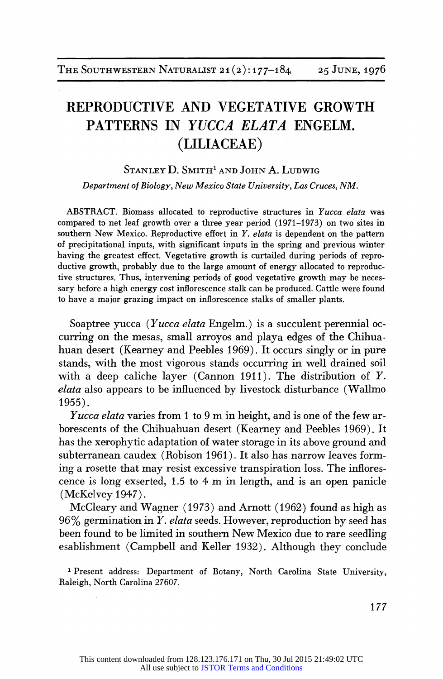# REPRODUCTIVE AND VEGETATIVE GROWTH PATTERNS IN YUCCA ELATA ENGELM. (LILIACEAE)

## STANLEY D. SMITH<sup>1</sup> AND JOHN A. LUDWIG

Department of Biology, New Mexico State University, Las Cruces, NM.

ABSTRACT. Biomass allocated to reproductive structures in Yucca elata was compared to net leaf growth over a three year period (1971-1973) on two sites in southern New Mexico. Reproductive effort in  $Y$ , elata is dependent on the pattern of precipitational inputs, with significant inputs in the spring and previous winter having the greatest effect. Vegetative growth is curtailed during periods of reproductive growth, probably due to the large amount of energy allocated to reproductive structures. Thus, intervening periods of good vegetative growth may be necessary before ahigh energy cost inflorescence stalk can be produced. Cattle were found to have a major grazing impact on inflorescence stalks of smaller plants.

Soaptree yucca (Yucca elata Engelm.) is a succulent perennial occurring on the mesas, small arroyos and playa edges of the Chihuahuan desert (Kearney and Peebles 1969). It occurs singly or in pure stands, with the most vigorous stands occurring in well drained soil with a deep caliche layer (Cannon 1911). The distribution of Y. elata also appears to be influenced by livestock disturbance (Wallmo 1955).

Yucca elata varies from 1 to 9 m in height, and is one of the few arborescents of the Chihuahuan desert (Kearney and Peebles 1969). It has the xerophytic adaptation of water storage in its above ground and subterranean caudex (Robison 1961). It also has narrow leaves forming a rosette that may resist excessive transpiration loss. The inflorescence is long exserted, 1.5 to 4 m in length, and is an open panicle (McKelvey 1947).

McCleary and Wagner (1973) and Arnott (1962) found as high as  $96\%$  germination in Y. elata seeds. However, reproduction by seed has been found to be limited in southern New Mexico due to rare seedling esablishment (Campbell and Keller 1932). Although they conclude

<sup>1</sup> Present address: Department of Botany, North Carolina State University, Raleigh, North Carolina 27607.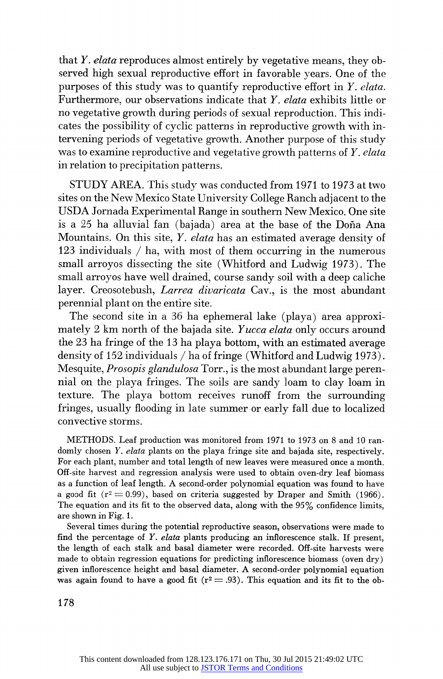that Y. elata reproduces almost entirely by vegetative means, they observed high sexual reproductive effort in favorable years. One of the purposes of this study was to quantify reproductive effort in  $Y$ . elata. Furthermore, our observations indicate that Y. elata exhibits little or no vegetative growth during periods of sexual reproduction. This indicates the possibility of cyclic patterns in reproductive growth with intervening periods of vegetative growth. Another purpose of this study was to examine reproductive and vegetative growth patterns of  $Y$ , elata in relation to precipitation patterns.

STUDY AREA. This study was conducted from 1971 to 1973 at two sites on the New Mexico State University College Ranch adjacent to the USDA Jornada Experimental Range in southern New Mexico. One site is a 25 ha alluvial fan (bajada) area at the base of the Doña Ana Mountains. On this site, *Y. elata* has an estimated average density of 123 individuals / ha, with most of them occurring in the numerous small arroyos dissecting the site (Whitford and Ludwig 1973). The small arroyos have well drained, course sandy soil with a deep caliche layer. Creosotebush, *Larrea divaricata* Cay., is the most abundant perennial plant on the entire site.

The second site in a 36 ha ephemeral lake (playa) area approximately 2 km north of the bajada site. Yucca elata only occurs around the 23 ha fringe of the 13 ha playa bottom, with an estimated average density of 152 individuals / ha of fringe (Whitford and Ludwig 1973). Mesquite, Prosopis glandulosa Torr., is the most abundant large perennial on the playa fringes. The soils are sandy loam to clay loam in texture. The playa bottom receives runoff from the surrounding fringes, usually flooding in late summer or early fall due to localized convective storms.

METHODS. Leaf production was monitored from 1971 to 1973 on 8 and 10 randomly chosen Y. elata plants on the playa fringe site and bajada site, respectively. For each plant, number and total length of new leaves were measured once a month. Off-site harvest and regression analysis were used to obtain oven-dry leaf biomass as a function of leaf length. A second-order polynomial equation was found to have a good fit  $(r^2 = 0.99)$ , based on criteria suggested by Draper and Smith (1966). The equation and its fit to the observed data, along with the 95% confidence limits, are shown in Fig. 1.

Several times during the potential reproductive season, observations were made to find the percentage of Y. elata plants producing an inflorescence stalk. If present, the length of each stalk and basal diameter were recorded. Off-site harvests were made to obtain regression equations for predicting inflorescence biomass (oven dry) given inflorescence height and basal diameter. A second-order polynomial equation was again found to have a good fit ( $r^2 = .93$ ). This equation and its fit to the ob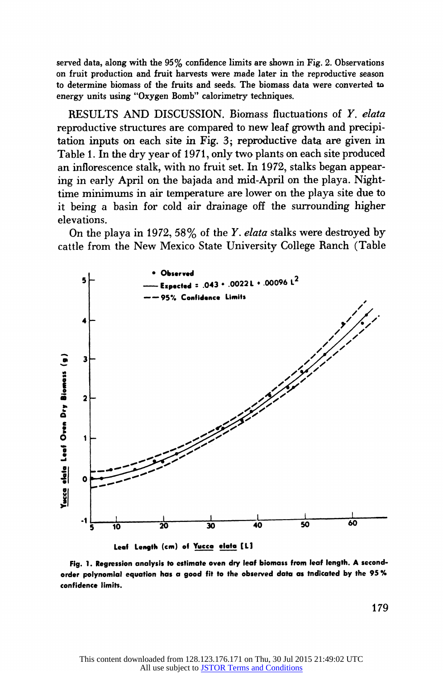served data, along with the 95% confidence limits are shown in Fig. 2. Observations on fruit production and fruit harvests were made later in the reproductive season to determine biomass of the fruits and seeds. The biomass data were converted to energy units using "Oxygen Bomb" calorimetry techniques.

RESULTS AND DISCUSSION. Biomass fluctuations of Y. elata reproductive structures are compared to new leaf growth and precipitation inputs on each site in Fig. 3; reproductive data are given in Table 1. In the dry year of 1971, only two plants on each site produced an inflorescence stalk, with no fruit set. In 1972, stalks began appearing in early April on the bajada and mid-April on the playa. Nighttime minimums in air temperature are lower on the playa site due to it being a basin for cold air drainage off the surrounding higher elevations.

On the playa in 1972, 58% of the Y. elata stalks were destroyed by cattle from the New Mexico State University College Ranch (Table



Fig. 1. Regression analysis to estimate oven dry leaf biomass from leaf length. A secondorder polynomial equation has a good fit to the observed data as tndicated by the 95 % confidence limits.

179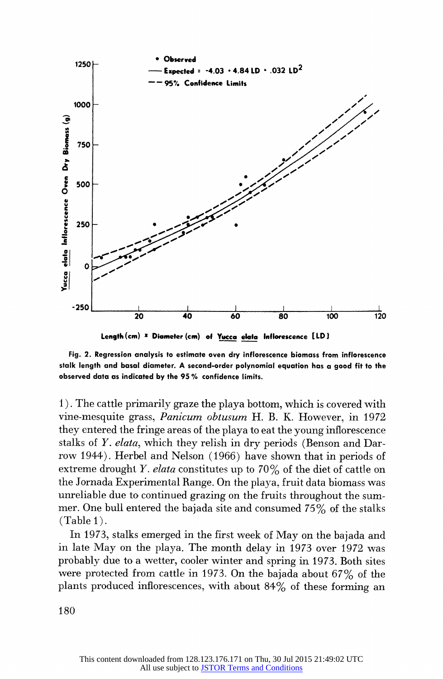

Length (cm) x Diameter (cm) of Yucca elata Inflorescence [LD]

Fig. 2. Regression analysis to estimate oven dry inflorescence biomass from inflorescence stalk length and basal diameter. A second-order polynomial equation has a good fit to the observed data as indicated by the 95 % confidence limits.

1). The cattle primarily graze the playa bottom, which is covered with vine-mesquite grass, Panicum obtusum H. B. K. However, in 1972 they entered the fringe areas of the playa to eat the young inflorescence stalks of Y. elata, which they relish in dry periods (Benson and Darrow 1944). Herbel and Nelson (1966) have shown that in periods of extreme drought Y. elata constitutes up to 70% of the diet of cattle on the Jornada Experimental Range. On the playa, fruit data biomass was unreliable due to continued grazing on the fruits throughout the summer. One bull entered the bajada site and consumed 75% of the stalks (Table 1).

In 1973, stalks emerged in the first week of May on the bajada and in late May on the playa. The month delay in 1973 over 1972 was probably due to a wetter, cooler winter and spring in 1973. Both sites were protected from cattle in 1973. On the bajada about 67% of the plants produced inflorescences, with about 84% of these forming an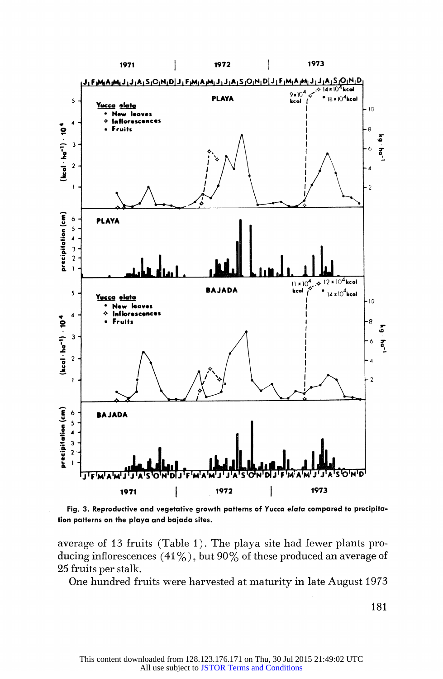

Fig. 3. Reproductive and vegetative growth patterns of Yucca elata compared to precipitation patterns on the playa and bajada sites.

average of 13 fruits (Table 1). The playa site had fewer plants producing inflorescences  $(41\%)$ , but  $90\%$  of these produced an average of 25 fruits per stalk.

One hundred fruits were harvested at maturity in late August 1973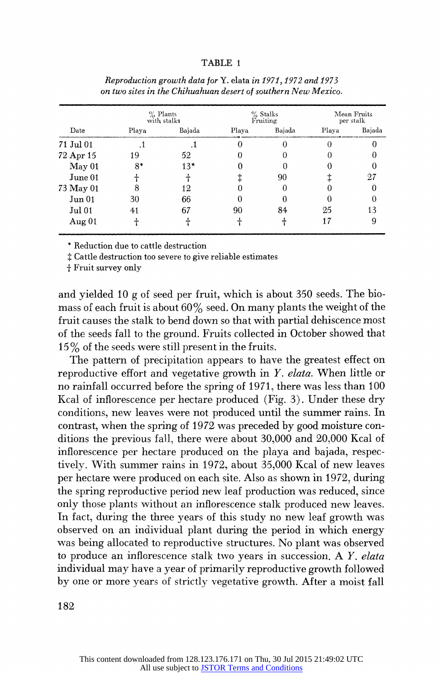### TABLE 1

| Date      | $%$ Plants<br>with stalks |        | $%$ Stalks<br>Fruiting |        | Mean Fruits<br>per stalk |        |
|-----------|---------------------------|--------|------------------------|--------|--------------------------|--------|
|           | Playa                     | Bajada | Playa                  | Bajada | Playa                    | Bajada |
| 71 Jul 01 |                           |        |                        |        |                          |        |
| 72 Apr 15 | 19                        | 52     |                        |        |                          |        |
| May 01    | $8*$                      | $13*$  |                        |        |                          |        |
| June 01   |                           |        |                        | 90     |                          | 27     |
| 73 May 01 | 8                         | 12     |                        | 0      |                          |        |
| Jun 01    | 30                        | 66     |                        |        |                          |        |
| Jul 01    | 41                        | 67     | 90                     | 84     | 25                       | 13     |
| Aug $01$  |                           |        |                        |        | 17                       | 9      |

Reproduction growth data for Y. elata in 1971, 1972 and 1973 on two sites in the Chihuahuan desert of southern New Mexico.

\* Reduction due to cattle destruction

 $\ddagger$  Cattle destruction too severe to give reliable estimates

+ Fruit survey only

and yielded 10 g of seed per fruit, which is about 350 seeds. The biomass of each fruit is about  $60\%$  seed. On many plants the weight of the fruit causes the stalk to bend down so that with partial dehiscence most of the seeds fall to the ground. Fruits collected in October showed that 15% of the seeds were still present in the fruits.

The pattern of precipitation appears to have the greatest effect on reproductive effort and vegetative growth in Y. elata. When little or no rainfall occurred before the spring of 1971, there was less than 100 Kcal of inflorescence per hectare produced (Fig. 3). Under these dry conditions, new leaves were not produced until the summer rains. In contrast, when the spring of 1972 was preceded by good moisture conditions the previous fall, there were about 30,000 and 20,000 Kcal of inflorescence per hectare produced on the playa and bajada, respectively. With summer rains in 1972, about 35,000 Kcal of new leaves per hectare were produced on each site. Also as shown in 1972, during the spring reproductive period new leaf production was reduced, since only those plants without an inflorescence stalk produced new leaves. In fact, during the three years of this study no new leaf growth was observed on an individual plant during the period in which energy was being allocated to reproductive structures. No plant was observed to produce an inflorescence stalk two years in succession. A Y. elata individual may have a year of primarily reproductive growth followed by one or more years of strictly vegetative growth. After a moist fall

182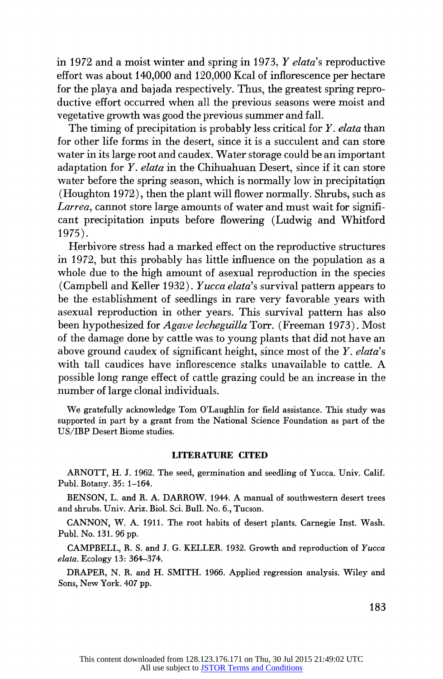in 1972 and a moist winter and spring in 1973, Y elata's reproductive effort was about 140,000 and 120,000 Kcal of inflorescence per hectare for the playa and bajada respectively. Thus, the greatest spring reproductive effort occurred when all the previous seasons were moist and vegetative growth was good the previous summer and fall.

The timing of precipitation is probably less critical for  $Y$ . elata than for other life forms in the desert, since it is a succulent and can store water in its large root and caudex. Water storage could be an important adaptation for Y. elata in the Chihuahuan Desert, since if it can store water before the spring season, which is normally low in precipitation (Houghton 1972), then the plant will flower normally. Shrubs, such as Larrea, cannot store large amounts of water and must wait for significant precipitation inputs before flowering (Ludwig and Whitford 1975).

Herbivore stress had a marked effect on the reproductive structures in 1972, but this probably has little influence on the population as a whole due to the high amount of asexual reproduction in the species (Campbell and Keller 1932). Yucca elata's survival pattern appears to be the establishment of seedlings in rare very favorable years with asexual reproduction in other years. This survival pattern has also been hypothesized for *Agave lecheguilla* Torr. (Freeman 1973). Most of the damage done by cattle was to young plants that did not have an above ground caudex of significant height, since most of the  $Y$ . elata's with tall caudices have inflorescence stalks unavailable to cattle. A possible long range effect of cattle grazing could be an increase in the number of large clonal individuals.

We gratefully acknowledge Tom O'Laughlin for field assistance. This study was supported in part by a grant from the National Science Foundation as part of the US/IBP Desert Biome studies.

#### LITERATURE CITED

ARNOTT, H. J. 1962. The seed, germination and seedling of Yucca. Univ. Calif. Publ. Botany. 35: 1-164.

BENSON, L. and R. A. DARROW. 1944. A manual of southwestern desert trees and shrubs. Univ. Ariz. Biol. Sci. Bull. No. 6., Tucson.

CANNON, W. A. 1911. The root habits of desert plants. Carnegie Inst. Wash. Publ. No. 131. 96 pp.

CAMPBELL, R. S. and J. G. KELLER. 1932. Growth and reproduction of Yucca elata. Ecology 13: 364-374.

DRAPER, N. R. and H. SMITH. 1966. Applied regression analysis. Wiley and Sons, New York. 407 pp.